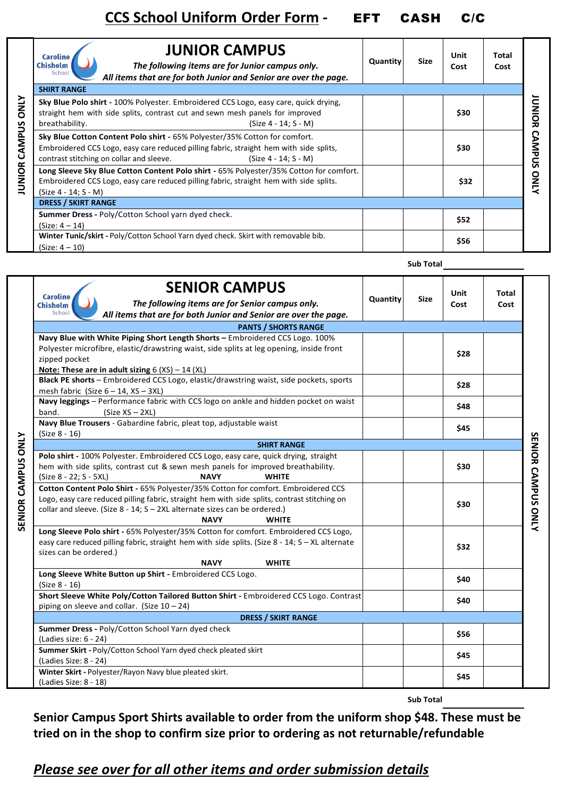| <b>JUNIOR CAMPUS ONLY</b> | <b>JUNIOR CAMPUS</b><br><b>Caroline</b><br><b>Chisholm</b><br>The following items are for Junior campus only.<br>School<br>All items that are for both Junior and Senior are over the page.                                              | <b>Quantity</b> | <b>Size</b> | Unit<br>Cost | Total<br>Cost |                         |
|---------------------------|------------------------------------------------------------------------------------------------------------------------------------------------------------------------------------------------------------------------------------------|-----------------|-------------|--------------|---------------|-------------------------|
|                           | <b>SHIRT RANGE</b>                                                                                                                                                                                                                       |                 |             |              |               |                         |
|                           | Sky Blue Polo shirt - 100% Polyester. Embroidered CCS Logo, easy care, quick drying,<br>straight hem with side splits, contrast cut and sewn mesh panels for improved<br>breathability.<br>(Size 4 - 14: S - M)                          |                 |             | \$30         |               | DINICR<br><b>CAMPUS</b> |
|                           | Sky Blue Cotton Content Polo shirt - 65% Polyester/35% Cotton for comfort.<br>Embroidered CCS Logo, easy care reduced pilling fabric, straight hem with side splits,<br>contrast stitching on collar and sleeve.<br>(Size 4 - 14; S - M) |                 |             | \$30         |               |                         |
|                           | Long Sleeve Sky Blue Cotton Content Polo shirt - 65% Polyester/35% Cotton for comfort.<br>Embroidered CCS Logo, easy care reduced pilling fabric, straight hem with side splits.<br>(Size 4 - 14; S - M)                                 |                 |             | \$32         |               | ONLY                    |
|                           | <b>DRESS / SKIRT RANGE</b>                                                                                                                                                                                                               |                 |             |              |               |                         |
|                           | Summer Dress - Poly/Cotton School yarn dyed check.<br>$(Size: 4 - 14)$                                                                                                                                                                   |                 |             | \$52         |               |                         |
|                           | Winter Tunic/skirt - Poly/Cotton School Yarn dyed check. Skirt with removable bib.<br>$(Size: 4 - 10)$                                                                                                                                   |                 |             | \$56         |               |                         |

| Unit<br>Total<br><b>Caroline</b><br><b>Size</b><br>Quantity<br>The following items are for Senior campus only.<br><b>Chisholm</b><br>Cost<br>Cost<br>School<br>All items that are for both Junior and Senior are over the page.<br><b>PANTS / SHORTS RANGE</b><br>Navy Blue with White Piping Short Length Shorts - Embroidered CCS Logo. 100%<br>Polyester microfibre, elastic/drawstring waist, side splits at leg opening, inside front<br>\$28<br>zipped pocket<br>Note: These are in adult sizing $6 (XS) - 14 (XL)$ |                    |
|---------------------------------------------------------------------------------------------------------------------------------------------------------------------------------------------------------------------------------------------------------------------------------------------------------------------------------------------------------------------------------------------------------------------------------------------------------------------------------------------------------------------------|--------------------|
|                                                                                                                                                                                                                                                                                                                                                                                                                                                                                                                           |                    |
|                                                                                                                                                                                                                                                                                                                                                                                                                                                                                                                           |                    |
|                                                                                                                                                                                                                                                                                                                                                                                                                                                                                                                           |                    |
|                                                                                                                                                                                                                                                                                                                                                                                                                                                                                                                           |                    |
|                                                                                                                                                                                                                                                                                                                                                                                                                                                                                                                           |                    |
|                                                                                                                                                                                                                                                                                                                                                                                                                                                                                                                           |                    |
|                                                                                                                                                                                                                                                                                                                                                                                                                                                                                                                           |                    |
| Black PE shorts - Embroidered CCS Logo, elastic/drawstring waist, side pockets, sports<br>\$28                                                                                                                                                                                                                                                                                                                                                                                                                            |                    |
| mesh fabric (Size $6 - 14$ , XS - 3XL)                                                                                                                                                                                                                                                                                                                                                                                                                                                                                    |                    |
| Navy leggings - Performance fabric with CCS logo on ankle and hidden pocket on waist<br>\$48                                                                                                                                                                                                                                                                                                                                                                                                                              |                    |
| band.<br>$(Size XS - 2XL)$                                                                                                                                                                                                                                                                                                                                                                                                                                                                                                |                    |
| Navy Blue Trousers - Gabardine fabric, pleat top, adjustable waist<br>\$45                                                                                                                                                                                                                                                                                                                                                                                                                                                |                    |
| (Size 8 - 16)                                                                                                                                                                                                                                                                                                                                                                                                                                                                                                             |                    |
| <b>SHIRT RANGE</b>                                                                                                                                                                                                                                                                                                                                                                                                                                                                                                        |                    |
| Polo shirt - 100% Polyester. Embroidered CCS Logo, easy care, quick drying, straight                                                                                                                                                                                                                                                                                                                                                                                                                                      |                    |
| hem with side splits, contrast cut & sewn mesh panels for improved breathability.<br>\$30                                                                                                                                                                                                                                                                                                                                                                                                                                 |                    |
| <b>WHITE</b><br>(Size 8 - 22; S - 5XL)<br><b>NAVY</b>                                                                                                                                                                                                                                                                                                                                                                                                                                                                     |                    |
| Cotton Content Polo Shirt - 65% Polyester/35% Cotton for comfort. Embroidered CCS                                                                                                                                                                                                                                                                                                                                                                                                                                         |                    |
| Logo, easy care reduced pilling fabric, straight hem with side splits, contrast stitching on<br>\$30                                                                                                                                                                                                                                                                                                                                                                                                                      |                    |
| <b>SENIOR CAMPUS ONLY</b><br>collar and sleeve. (Size 8 - 14; S - 2XL alternate sizes can be ordered.)<br><b>NAVY</b><br><b>WHITE</b>                                                                                                                                                                                                                                                                                                                                                                                     | SENIOR CAMPUS ONLY |
|                                                                                                                                                                                                                                                                                                                                                                                                                                                                                                                           |                    |
| Long Sleeve Polo shirt - 65% Polyester/35% Cotton for comfort. Embroidered CCS Logo,<br>easy care reduced pilling fabric, straight hem with side splits. (Size 8 - 14; S - XL alternate                                                                                                                                                                                                                                                                                                                                   |                    |
| \$32<br>sizes can be ordered.)                                                                                                                                                                                                                                                                                                                                                                                                                                                                                            |                    |
| <b>NAVY</b><br><b>WHITE</b>                                                                                                                                                                                                                                                                                                                                                                                                                                                                                               |                    |
| Long Sleeve White Button up Shirt - Embroidered CCS Logo.                                                                                                                                                                                                                                                                                                                                                                                                                                                                 |                    |
| \$40<br>(Size 8 - 16)                                                                                                                                                                                                                                                                                                                                                                                                                                                                                                     |                    |
| Short Sleeve White Poly/Cotton Tailored Button Shirt - Embroidered CCS Logo. Contrast                                                                                                                                                                                                                                                                                                                                                                                                                                     |                    |
| \$40<br>piping on sleeve and collar. (Size $10 - 24$ )                                                                                                                                                                                                                                                                                                                                                                                                                                                                    |                    |
| <b>DRESS / SKIRT RANGE</b>                                                                                                                                                                                                                                                                                                                                                                                                                                                                                                |                    |
| Summer Dress - Poly/Cotton School Yarn dyed check                                                                                                                                                                                                                                                                                                                                                                                                                                                                         |                    |
| \$56<br>(Ladies size: 6 - 24)                                                                                                                                                                                                                                                                                                                                                                                                                                                                                             |                    |
| Summer Skirt - Poly/Cotton School Yarn dyed check pleated skirt                                                                                                                                                                                                                                                                                                                                                                                                                                                           |                    |
| \$45<br>(Ladies Size: 8 - 24)                                                                                                                                                                                                                                                                                                                                                                                                                                                                                             |                    |
| Winter Skirt - Polyester/Rayon Navy blue pleated skirt.                                                                                                                                                                                                                                                                                                                                                                                                                                                                   |                    |
| \$45<br>(Ladies Size: 8 - 18)                                                                                                                                                                                                                                                                                                                                                                                                                                                                                             |                    |

**Sub Total**

**Sub Total**

**Senior Campus Sport Shirts available to order from the uniform shop \$48. These must be tried on in the shop to confirm size prior to ordering as not returnable/refundable**

## *Please see over for all other items and order submission details*